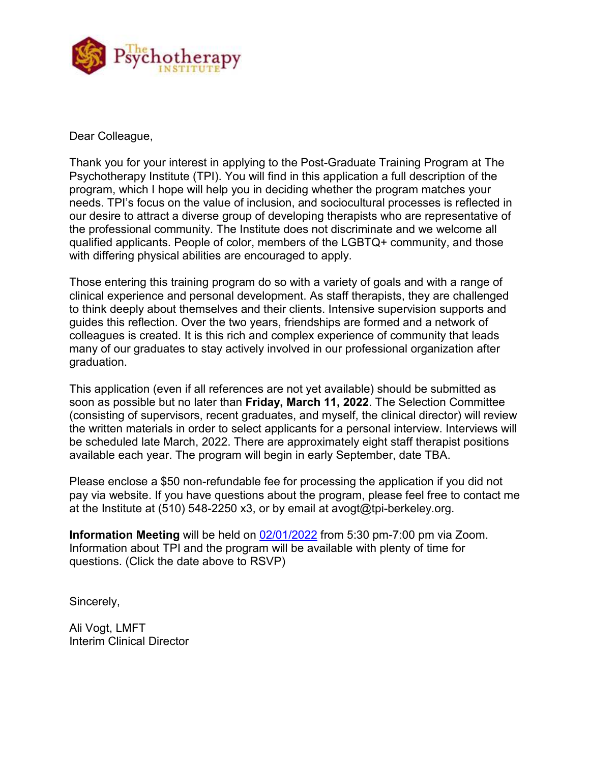

Dear Colleague,

Thank you for your interest in applying to the Post-Graduate Training Program at The Psychotherapy Institute (TPI). You will find in this application a full description of the program, which I hope will help you in deciding whether the program matches your needs. TPI's focus on the value of inclusion, and sociocultural processes is reflected in our desire to attract a diverse group of developing therapists who are representative of the professional community. The Institute does not discriminate and we welcome all qualified applicants. People of color, members of the LGBTQ+ community, and those with differing physical abilities are encouraged to apply.

Those entering this training program do so with a variety of goals and with a range of clinical experience and personal development. As staff therapists, they are challenged to think deeply about themselves and their clients. Intensive supervision supports and guides this reflection. Over the two years, friendships are formed and a network of colleagues is created. It is this rich and complex experience of community that leads many of our graduates to stay actively involved in our professional organization after graduation.

This application (even if all references are not yet available) should be submitted as soon as possible but no later than **Friday, March 11, 2022**. The Selection Committee (consisting of supervisors, recent graduates, and myself, the clinical director) will review the written materials in order to select applicants for a personal interview. Interviews will be scheduled late March, 2022. There are approximately eight staff therapist positions available each year. The program will begin in early September, date TBA.

Please enclose a \$50 non-refundable fee for processing the application if you did not pay via website. If you have questions about the program, please feel free to contact me at the Institute at (510) 548-2250 x3, or by email at avogt@tpi-berkeley.org.

**Information Meeting** will be held on [02/01/2022](https://docs.google.com/forms/d/e/1FAIpQLSfil76sdb0T5nexZSZ6sjAEp7okd4Nq5eQ9snmuPqC7zPMJbw/viewform?usp=sf_link) from 5:30 pm-7:00 pm via Zoom. Information about TPI and the program will be available with plenty of time for questions. (Click the date above to RSVP)

Sincerely,

Ali Vogt, LMFT Interim Clinical Director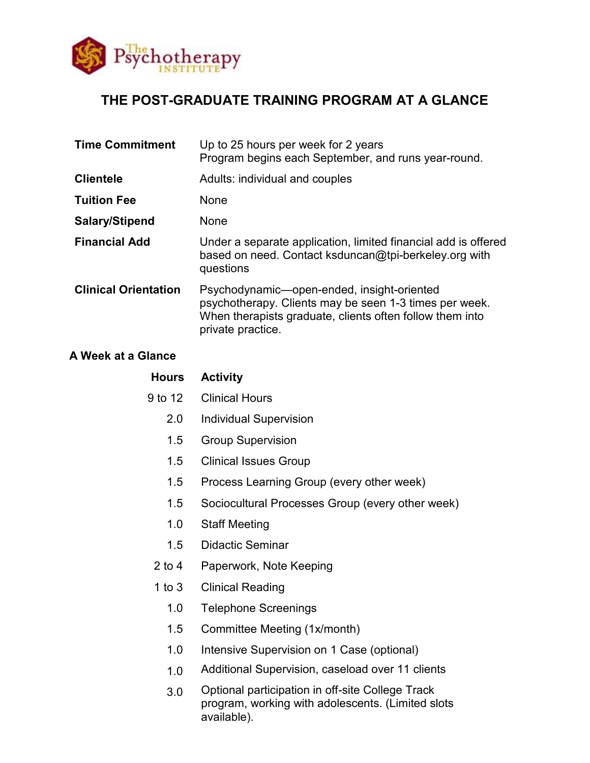

# **THE POST-GRADUATE TRAINING PROGRAM AT A GLANCE**

| <b>Time Commitment</b>      | Up to 25 hours per week for 2 years<br>Program begins each September, and runs year-round.                                                                                            |
|-----------------------------|---------------------------------------------------------------------------------------------------------------------------------------------------------------------------------------|
| <b>Clientele</b>            | Adults: individual and couples                                                                                                                                                        |
| <b>Tuition Fee</b>          | None                                                                                                                                                                                  |
| Salary/Stipend              | None                                                                                                                                                                                  |
| <b>Financial Add</b>        | Under a separate application, limited financial add is offered<br>based on need. Contact ksduncan@tpi-berkeley.org with<br>questions                                                  |
| <b>Clinical Orientation</b> | Psychodynamic—open-ended, insight-oriented<br>psychotherapy. Clients may be seen 1-3 times per week.<br>When therapists graduate, clients often follow them into<br>private practice. |

## **A Week at a Glance**

| <b>Hours</b> | <b>Activity</b>                                                                                       |
|--------------|-------------------------------------------------------------------------------------------------------|
| 9 to 12      | <b>Clinical Hours</b>                                                                                 |
| 2.0          | <b>Individual Supervision</b>                                                                         |
| 1.5          | <b>Group Supervision</b>                                                                              |
| 1.5          | <b>Clinical Issues Group</b>                                                                          |
| 1.5          | Process Learning Group (every other week)                                                             |
| 1.5          | Sociocultural Processes Group (every other week)                                                      |
| 1.0          | <b>Staff Meeting</b>                                                                                  |
| 1.5          | <b>Didactic Seminar</b>                                                                               |
| $2$ to 4     | Paperwork, Note Keeping                                                                               |
| 1 to $3$     | <b>Clinical Reading</b>                                                                               |
| 1.0          | <b>Telephone Screenings</b>                                                                           |
| 1.5          | Committee Meeting (1x/month)                                                                          |
| 1.0          | Intensive Supervision on 1 Case (optional)                                                            |
| 1.0          | Additional Supervision, caseload over 11 clients                                                      |
| 3.0          | Optional participation in off-site College Track<br>program, working with adolescents. (Limited slots |

available).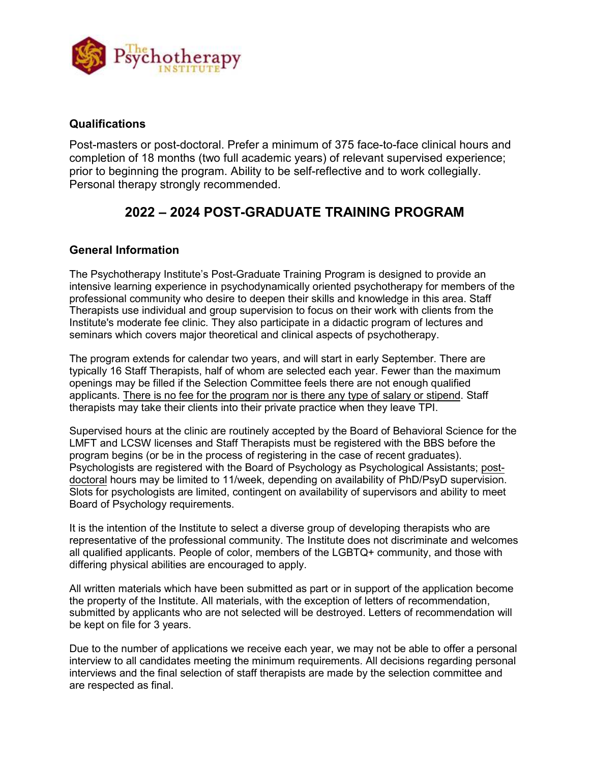

### **Qualifications**

Post-masters or post-doctoral. Prefer a minimum of 375 face-to-face clinical hours and completion of 18 months (two full academic years) of relevant supervised experience; prior to beginning the program. Ability to be self-reflective and to work collegially. Personal therapy strongly recommended.

## **2022 – 2024 POST-GRADUATE TRAINING PROGRAM**

#### **General Information**

The Psychotherapy Institute's Post-Graduate Training Program is designed to provide an intensive learning experience in psychodynamically oriented psychotherapy for members of the professional community who desire to deepen their skills and knowledge in this area. Staff Therapists use individual and group supervision to focus on their work with clients from the Institute's moderate fee clinic. They also participate in a didactic program of lectures and seminars which covers major theoretical and clinical aspects of psychotherapy.

The program extends for calendar two years, and will start in early September. There are typically 16 Staff Therapists, half of whom are selected each year. Fewer than the maximum openings may be filled if the Selection Committee feels there are not enough qualified applicants. There is no fee for the program nor is there any type of salary or stipend. Staff therapists may take their clients into their private practice when they leave TPI.

Supervised hours at the clinic are routinely accepted by the Board of Behavioral Science for the LMFT and LCSW licenses and Staff Therapists must be registered with the BBS before the program begins (or be in the process of registering in the case of recent graduates). Psychologists are registered with the Board of Psychology as Psychological Assistants; postdoctoral hours may be limited to 11/week, depending on availability of PhD/PsyD supervision. Slots for psychologists are limited, contingent on availability of supervisors and ability to meet Board of Psychology requirements.

It is the intention of the Institute to select a diverse group of developing therapists who are representative of the professional community. The Institute does not discriminate and welcomes all qualified applicants. People of color, members of the LGBTQ+ community, and those with differing physical abilities are encouraged to apply.

All written materials which have been submitted as part or in support of the application become the property of the Institute. All materials, with the exception of letters of recommendation, submitted by applicants who are not selected will be destroyed. Letters of recommendation will be kept on file for 3 years.

Due to the number of applications we receive each year, we may not be able to offer a personal interview to all candidates meeting the minimum requirements. All decisions regarding personal interviews and the final selection of staff therapists are made by the selection committee and are respected as final.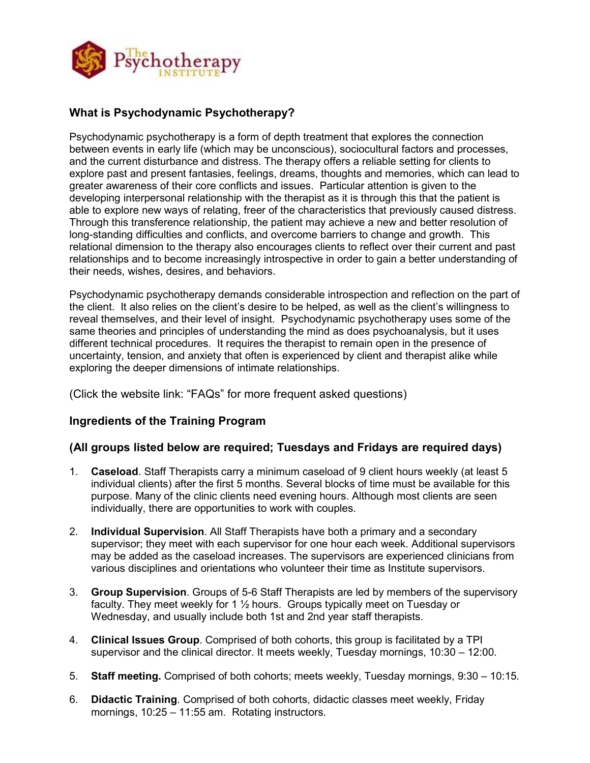

## **What is Psychodynamic Psychotherapy?**

Psychodynamic psychotherapy is a form of depth treatment that explores the connection between events in early life (which may be unconscious), sociocultural factors and processes, and the current disturbance and distress. The therapy offers a reliable setting for clients to explore past and present fantasies, feelings, dreams, thoughts and memories, which can lead to greater awareness of their core conflicts and issues. Particular attention is given to the developing interpersonal relationship with the therapist as it is through this that the patient is able to explore new ways of relating, freer of the characteristics that previously caused distress. Through this transference relationship, the patient may achieve a new and better resolution of long-standing difficulties and conflicts, and overcome barriers to change and growth. This relational dimension to the therapy also encourages clients to reflect over their current and past relationships and to become increasingly introspective in order to gain a better understanding of their needs, wishes, desires, and behaviors.

Psychodynamic psychotherapy demands considerable introspection and reflection on the part of the client. It also relies on the client's desire to be helped, as well as the client's willingness to reveal themselves, and their level of insight. Psychodynamic psychotherapy uses some of the same theories and principles of understanding the mind as does psychoanalysis, but it uses different technical procedures. It requires the therapist to remain open in the presence of uncertainty, tension, and anxiety that often is experienced by client and therapist alike while exploring the deeper dimensions of intimate relationships.

(Click the website link: "FAQs" for more frequent asked questions)

## **Ingredients of the Training Program**

## **(All groups listed below are required; Tuesdays and Fridays are required days)**

- 1. **Caseload**. Staff Therapists carry a minimum caseload of 9 client hours weekly (at least 5 individual clients) after the first 5 months. Several blocks of time must be available for this purpose. Many of the clinic clients need evening hours. Although most clients are seen individually, there are opportunities to work with couples.
- 2. **Individual Supervision**. All Staff Therapists have both a primary and a secondary supervisor; they meet with each supervisor for one hour each week. Additional supervisors may be added as the caseload increases. The supervisors are experienced clinicians from various disciplines and orientations who volunteer their time as Institute supervisors.
- 3. **Group Supervision**. Groups of 5-6 Staff Therapists are led by members of the supervisory faculty. They meet weekly for 1 ½ hours. Groups typically meet on Tuesday or Wednesday, and usually include both 1st and 2nd year staff therapists.
- 4. **Clinical Issues Group**. Comprised of both cohorts, this group is facilitated by a TPI supervisor and the clinical director. It meets weekly, Tuesday mornings, 10:30 – 12:00.
- 5. **Staff meeting.** Comprised of both cohorts; meets weekly, Tuesday mornings, 9:30 10:15.
- 6. **Didactic Training**. Comprised of both cohorts, didactic classes meet weekly, Friday mornings, 10:25 – 11:55 am. Rotating instructors.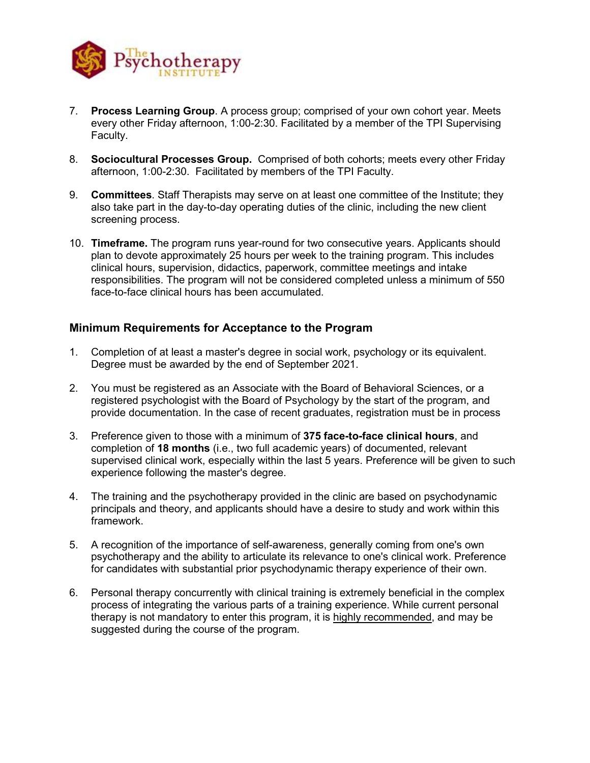

- 7. **Process Learning Group**. A process group; comprised of your own cohort year. Meets every other Friday afternoon, 1:00-2:30. Facilitated by a member of the TPI Supervising Faculty.
- 8. **Sociocultural Processes Group.** Comprised of both cohorts; meets every other Friday afternoon, 1:00-2:30. Facilitated by members of the TPI Faculty.
- 9. **Committees**. Staff Therapists may serve on at least one committee of the Institute; they also take part in the day-to-day operating duties of the clinic, including the new client screening process.
- 10. **Timeframe.** The program runs year-round for two consecutive years. Applicants should plan to devote approximately 25 hours per week to the training program. This includes clinical hours, supervision, didactics, paperwork, committee meetings and intake responsibilities. The program will not be considered completed unless a minimum of 550 face-to-face clinical hours has been accumulated.

#### **Minimum Requirements for Acceptance to the Program**

- 1. Completion of at least a master's degree in social work, psychology or its equivalent. Degree must be awarded by the end of September 2021.
- 2. You must be registered as an Associate with the Board of Behavioral Sciences, or a registered psychologist with the Board of Psychology by the start of the program, and provide documentation. In the case of recent graduates, registration must be in process
- 3. Preference given to those with a minimum of **375 face-to-face clinical hours**, and completion of **18 months** (i.e., two full academic years) of documented, relevant supervised clinical work, especially within the last 5 years. Preference will be given to such experience following the master's degree.
- 4. The training and the psychotherapy provided in the clinic are based on psychodynamic principals and theory, and applicants should have a desire to study and work within this framework.
- 5. A recognition of the importance of self-awareness, generally coming from one's own psychotherapy and the ability to articulate its relevance to one's clinical work. Preference for candidates with substantial prior psychodynamic therapy experience of their own.
- 6. Personal therapy concurrently with clinical training is extremely beneficial in the complex process of integrating the various parts of a training experience. While current personal therapy is not mandatory to enter this program, it is highly recommended, and may be suggested during the course of the program.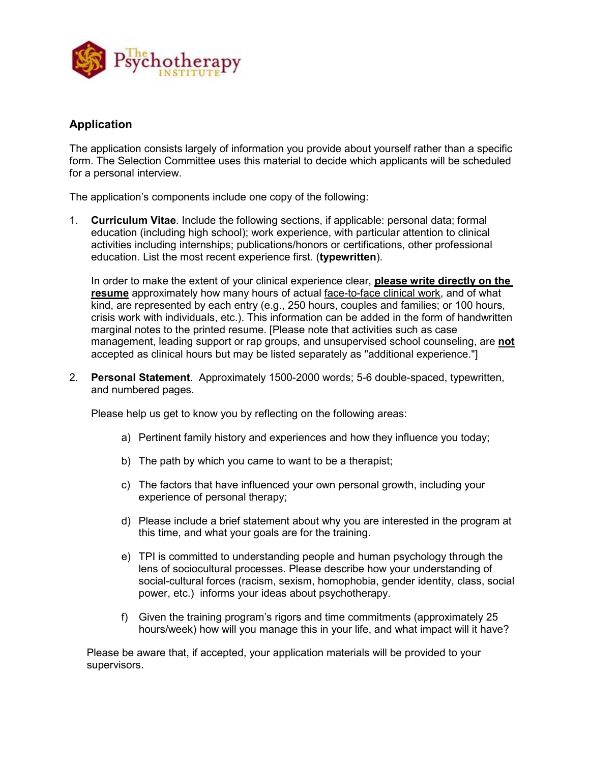

## **Application**

The application consists largely of information you provide about yourself rather than a specific form. The Selection Committee uses this material to decide which applicants will be scheduled for a personal interview.

The application's components include one copy of the following:

1. **Curriculum Vitae**. Include the following sections, if applicable: personal data; formal education (including high school); work experience, with particular attention to clinical activities including internships; publications/honors or certifications, other professional education. List the most recent experience first. (**typewritten**).

In order to make the extent of your clinical experience clear, **please write directly on the resume** approximately how many hours of actual face-to-face clinical work, and of what kind, are represented by each entry (e.g., 250 hours, couples and families; or 100 hours, crisis work with individuals, etc.). This information can be added in the form of handwritten marginal notes to the printed resume. [Please note that activities such as case management, leading support or rap groups, and unsupervised school counseling, are **not** accepted as clinical hours but may be listed separately as "additional experience."]

2. **Personal Statement**. Approximately 1500-2000 words; 5-6 double-spaced, typewritten, and numbered pages.

Please help us get to know you by reflecting on the following areas:

- a) Pertinent family history and experiences and how they influence you today;
- b) The path by which you came to want to be a therapist;
- c) The factors that have influenced your own personal growth, including your experience of personal therapy;
- d) Please include a brief statement about why you are interested in the program at this time, and what your goals are for the training.
- e) TPI is committed to understanding people and human psychology through the lens of sociocultural processes. Please describe how your understanding of social-cultural forces (racism, sexism, homophobia, gender identity, class, social power, etc.) informs your ideas about psychotherapy.
- f) Given the training program's rigors and time commitments (approximately 25 hours/week) how will you manage this in your life, and what impact will it have?

Please be aware that, if accepted, your application materials will be provided to your supervisors.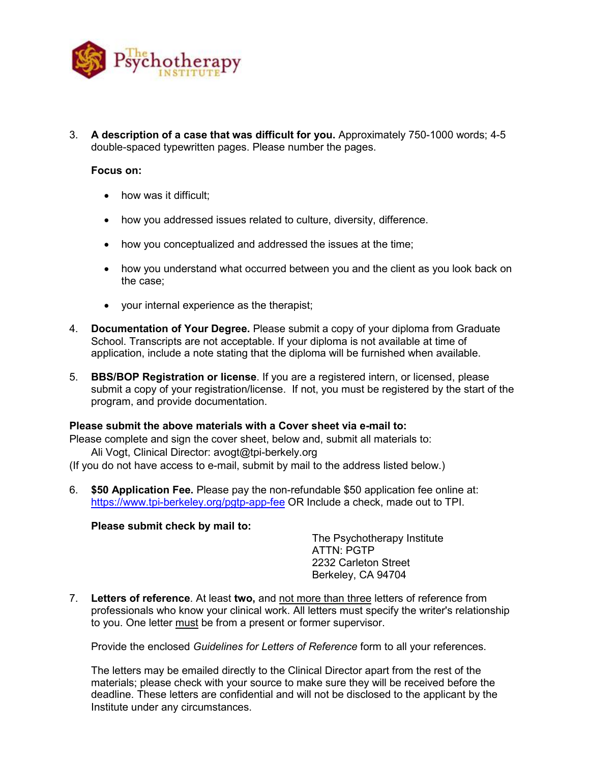

3. **A description of a case that was difficult for you.** Approximately 750-1000 words; 4-5 double-spaced typewritten pages. Please number the pages.

#### **Focus on:**

- how was it difficult;
- how you addressed issues related to culture, diversity, difference.
- how you conceptualized and addressed the issues at the time;
- how you understand what occurred between you and the client as you look back on the case;
- your internal experience as the therapist;
- 4. **Documentation of Your Degree.** Please submit a copy of your diploma from Graduate School. Transcripts are not acceptable. If your diploma is not available at time of application, include a note stating that the diploma will be furnished when available.
- 5. **BBS/BOP Registration or license**. If you are a registered intern, or licensed, please submit a copy of your registration/license. If not, you must be registered by the start of the program, and provide documentation.

#### **Please submit the above materials with a Cover sheet via e-mail to:**

Please complete and sign the cover sheet, below and, submit all materials to:

Ali Vogt, Clinical Director: avogt@tpi-berkely.org

(If you do not have access to e-mail, submit by mail to the address listed below.)

6. **\$50 Application Fee.** Please pay the non-refundable \$50 application fee online at: <https://www.tpi-berkeley.org/pgtp-app-fee> OR Include a check, made out to TPI.

#### **Please submit check by mail to:**

The Psychotherapy Institute ATTN: PGTP 2232 Carleton Street Berkeley, CA 94704

7. **Letters of reference**. At least **two,** and not more than three letters of reference from professionals who know your clinical work. All letters must specify the writer's relationship to you. One letter must be from a present or former supervisor.

Provide the enclosed *Guidelines for Letters of Reference* form to all your references.

The letters may be emailed directly to the Clinical Director apart from the rest of the materials; please check with your source to make sure they will be received before the deadline. These letters are confidential and will not be disclosed to the applicant by the Institute under any circumstances.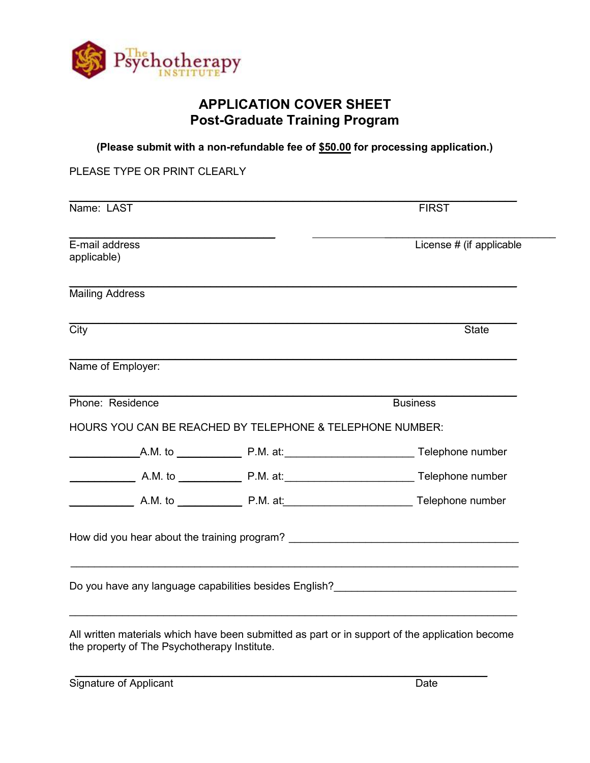

# **APPLICATION COVER SHEET Post-Graduate Training Program**

**(Please submit with a non-refundable fee of \$50.00 for processing application.)**

PLEASE TYPE OR PRINT CLEARLY

| Name: LAST                                                | <b>FIRST</b>                                                                     |
|-----------------------------------------------------------|----------------------------------------------------------------------------------|
| E-mail address<br>applicable)                             | License # (if applicable                                                         |
| <b>Mailing Address</b>                                    |                                                                                  |
| $\overline{\text{City}}$                                  | <b>State</b>                                                                     |
| Name of Employer:                                         |                                                                                  |
| Phone: Residence                                          | <b>Business</b>                                                                  |
| HOURS YOU CAN BE REACHED BY TELEPHONE & TELEPHONE NUMBER: |                                                                                  |
|                                                           |                                                                                  |
|                                                           |                                                                                  |
|                                                           |                                                                                  |
|                                                           | How did you hear about the training program? ___________________________________ |
|                                                           | Do you have any language capabilities besides English?                           |

\_\_\_\_\_\_\_\_\_\_\_\_\_\_\_\_\_\_\_\_\_\_\_\_\_\_\_\_\_\_\_\_\_\_\_\_\_\_\_\_\_\_\_\_\_\_\_\_\_\_\_\_\_\_\_\_\_\_\_\_\_\_\_\_\_\_\_\_\_\_

Signature of Applicant Date